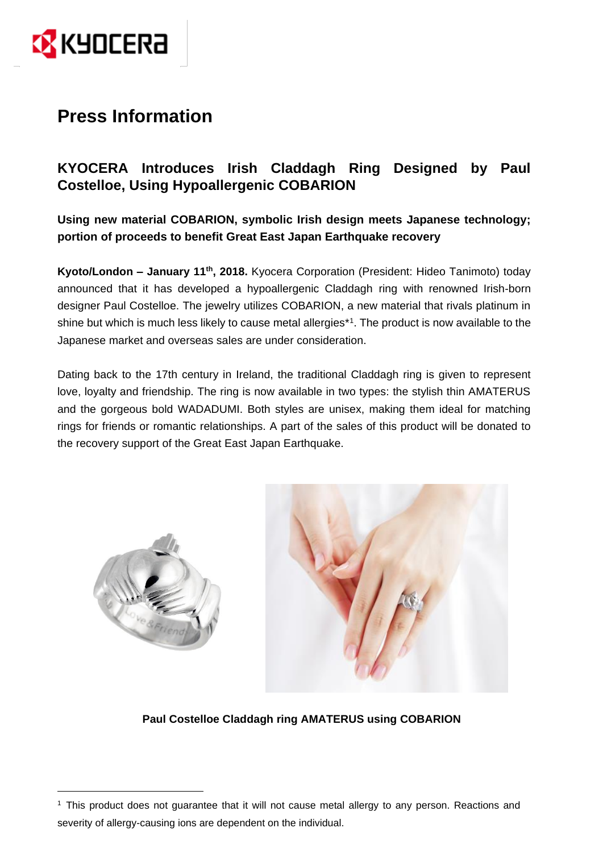

 $\overline{a}$ 

# **Press Information**

## **KYOCERA Introduces Irish Claddagh Ring Designed by Paul Costelloe, Using Hypoallergenic COBARION**

**Using new material COBARION, symbolic Irish design meets Japanese technology; portion of proceeds to benefit Great East Japan Earthquake recovery**

**Kyoto/London - January 11<sup>th</sup>, 2018.** Kyocera Corporation (President: Hideo Tanimoto) today announced that it has developed a hypoallergenic Claddagh ring with renowned Irish-born designer Paul Costelloe. The jewelry utilizes COBARION, a new material that rivals platinum in shine but which is much less likely to cause metal allergies\*<sup>1</sup> . The product is now available to the Japanese market and overseas sales are under consideration.

Dating back to the 17th century in Ireland, the traditional Claddagh ring is given to represent love, loyalty and friendship. The ring is now available in two types: the stylish thin AMATERUS and the gorgeous bold WADADUMI. Both styles are unisex, making them ideal for matching rings for friends or romantic relationships. A part of the sales of this product will be donated to the recovery support of the Great East Japan Earthquake.



**Paul Costelloe Claddagh ring AMATERUS using COBARION**

 $<sup>1</sup>$  This product does not guarantee that it will not cause metal allergy to any person. Reactions and</sup> severity of allergy-causing ions are dependent on the individual.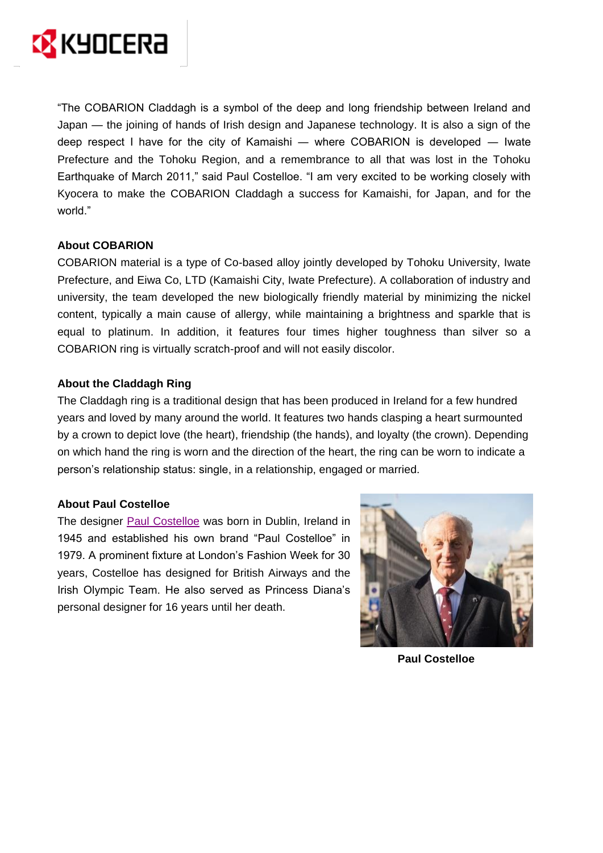

"The COBARION Claddagh is a symbol of the deep and long friendship between Ireland and Japan — the joining of hands of Irish design and Japanese technology. It is also a sign of the deep respect I have for the city of Kamaishi ― where COBARION is developed ― Iwate Prefecture and the Tohoku Region, and a remembrance to all that was lost in the Tohoku Earthquake of March 2011," said Paul Costelloe. "I am very excited to be working closely with Kyocera to make the COBARION Claddagh a success for Kamaishi, for Japan, and for the world."

### **About COBARION**

COBARION material is a type of Co-based alloy jointly developed by Tohoku University, Iwate Prefecture, and Eiwa Co, LTD (Kamaishi City, Iwate Prefecture). A collaboration of industry and university, the team developed the new biologically friendly material by minimizing the nickel content, typically a main cause of allergy, while maintaining a brightness and sparkle that is equal to platinum. In addition, it features four times higher toughness than silver so a COBARION ring is virtually scratch-proof and will not easily discolor.

#### **About the Claddagh Ring**

The Claddagh ring is a traditional design that has been produced in Ireland for a few hundred years and loved by many around the world. It features two hands clasping a heart surmounted by a crown to depict love (the heart), friendship (the hands), and loyalty (the crown). Depending on which hand the ring is worn and the direction of the heart, the ring can be worn to indicate a person's relationship status: single, in a relationship, engaged or married.

#### **About Paul Costelloe**

The designer [Paul Costelloe](http://www.paulcostelloe.com/) was born in Dublin, Ireland in 1945 and established his own brand "Paul Costelloe" in 1979. A prominent fixture at London's Fashion Week for 30 years, Costelloe has designed for British Airways and the Irish Olympic Team. He also served as Princess Diana's personal designer for 16 years until her death.



**Paul Costelloe**